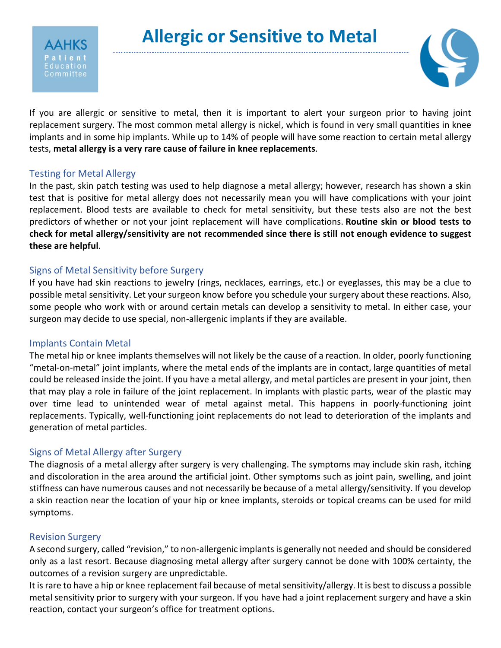



If you are allergic or sensitive to metal, then it is important to alert your surgeon prior to having joint replacement surgery. The most common metal allergy is nickel, which is found in very small quantities in knee implants and in some hip implants. While up to 14% of people will have some reaction to certain metal allergy tests, **metal allergy is a very rare cause of failure in knee replacements**.

# Testing for Metal Allergy

In the past, skin patch testing was used to help diagnose a metal allergy; however, research has shown a skin test that is positive for metal allergy does not necessarily mean you will have complications with your joint replacement. Blood tests are available to check for metal sensitivity, but these tests also are not the best predictors of whether or not your joint replacement will have complications. **Routine skin or blood tests to check for metal allergy/sensitivity are not recommended since there is still not enough evidence to suggest these are helpful**.

# Signs of Metal Sensitivity before Surgery

If you have had skin reactions to jewelry (rings, necklaces, earrings, etc.) or eyeglasses, this may be a clue to possible metal sensitivity. Let your surgeon know before you schedule your surgery about these reactions. Also, some people who work with or around certain metals can develop a sensitivity to metal. In either case, your surgeon may decide to use special, non-allergenic implants if they are available.

## Implants Contain Metal

The metal hip or knee implants themselves will not likely be the cause of a reaction. In older, poorly functioning "metal-on-metal" joint implants, where the metal ends of the implants are in contact, large quantities of metal could be released inside the joint. If you have a metal allergy, and metal particles are present in your joint, then that may play a role in failure of the joint replacement. In implants with plastic parts, wear of the plastic may over time lead to unintended wear of metal against metal. This happens in poorly-functioning joint replacements. Typically, well-functioning joint replacements do not lead to deterioration of the implants and generation of metal particles.

# Signs of Metal Allergy after Surgery

The diagnosis of a metal allergy after surgery is very challenging. The symptoms may include skin rash, itching and discoloration in the area around the artificial joint. Other symptoms such as joint pain, swelling, and joint stiffness can have numerous causes and not necessarily be because of a metal allergy/sensitivity. If you develop a skin reaction near the location of your hip or knee implants, steroids or topical creams can be used for mild symptoms.

## Revision Surgery

A second surgery, called "revision," to non-allergenic implants is generally not needed and should be considered only as a last resort. Because diagnosing metal allergy after surgery cannot be done with 100% certainty, the outcomes of a revision surgery are unpredictable.

It is rare to have a hip or knee replacement fail because of metal sensitivity/allergy. It is best to discuss a possible metal sensitivity prior to surgery with your surgeon. If you have had a joint replacement surgery and have a skin reaction, contact your surgeon's office for treatment options.